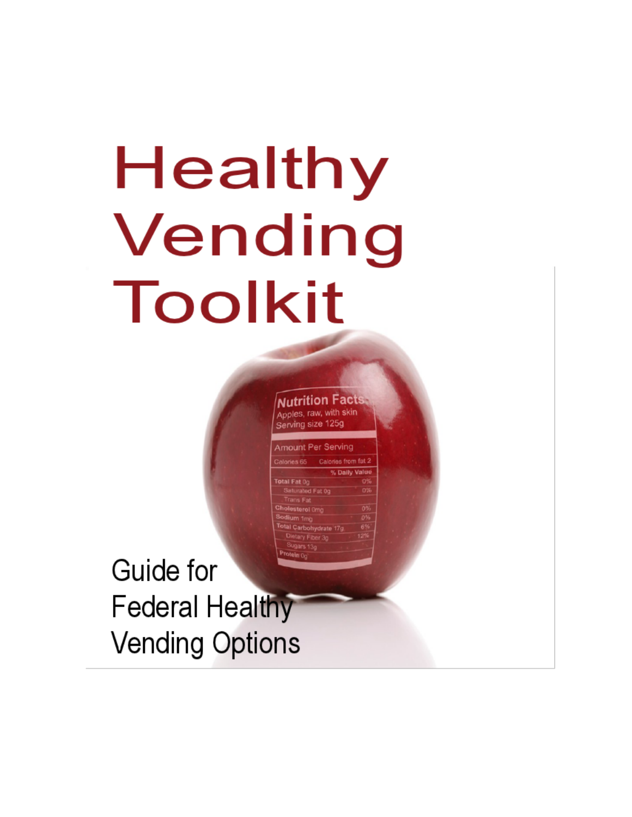## Healthy Vending Toolkit

**Nutrition Facts** Apples, raw, with skin Serving size 125g

**Amount Per Serving** 

ydrate<sup>17</sup>

otal Fat 0g Saturated Fat 0

Cholesterol

Calories from fat 2

Guide for **Federal Healthy Vending Options**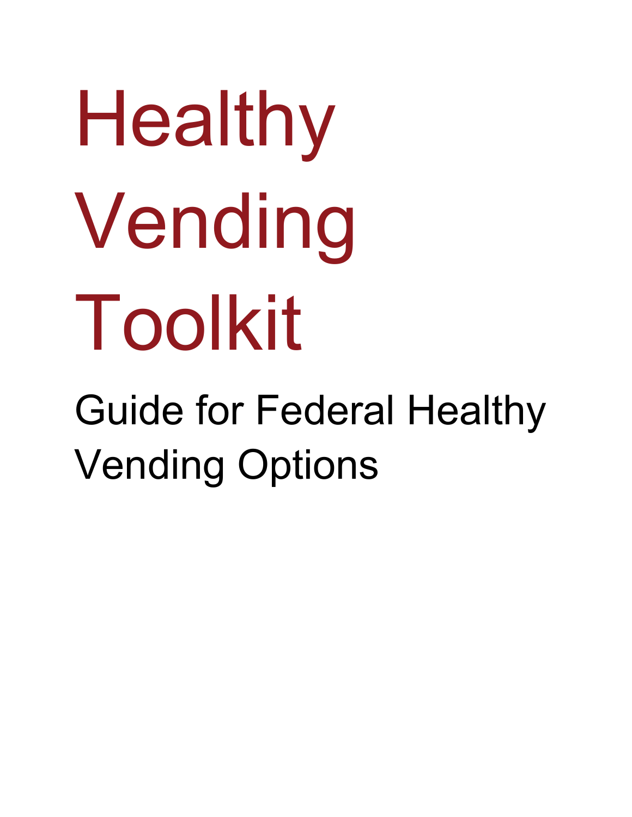# Healthy Vending Toolkit Guide for Federal Healthy Vending Options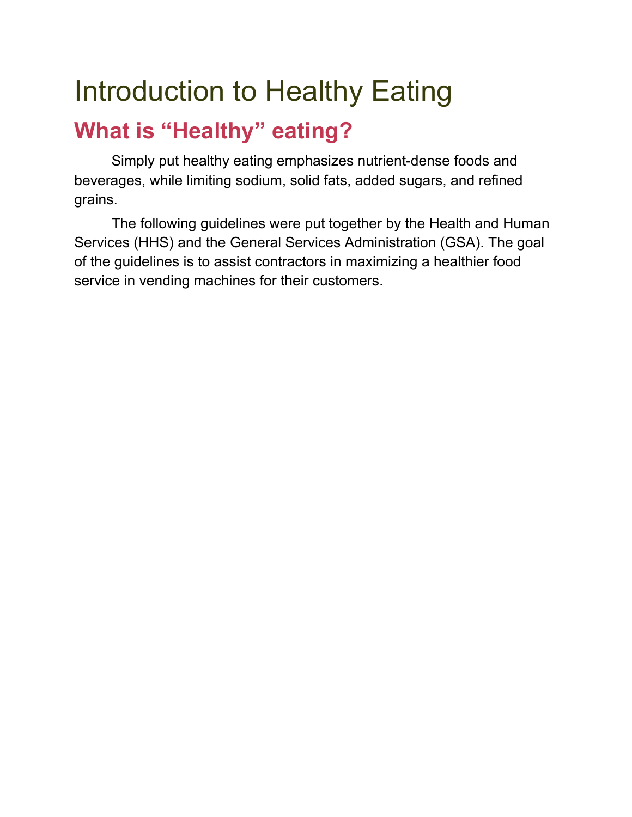### Introduction to Healthy Eating

### **What is "Healthy" eating?**

Simply put healthy eating emphasizes nutrient-dense foods and beverages, while limiting sodium, solid fats, added sugars, and refined grains.

The following guidelines were put together by the Health and Human Services (HHS) and the General Services Administration (GSA). The goal of the guidelines is to assist contractors in maximizing a healthier food service in vending machines for their customers.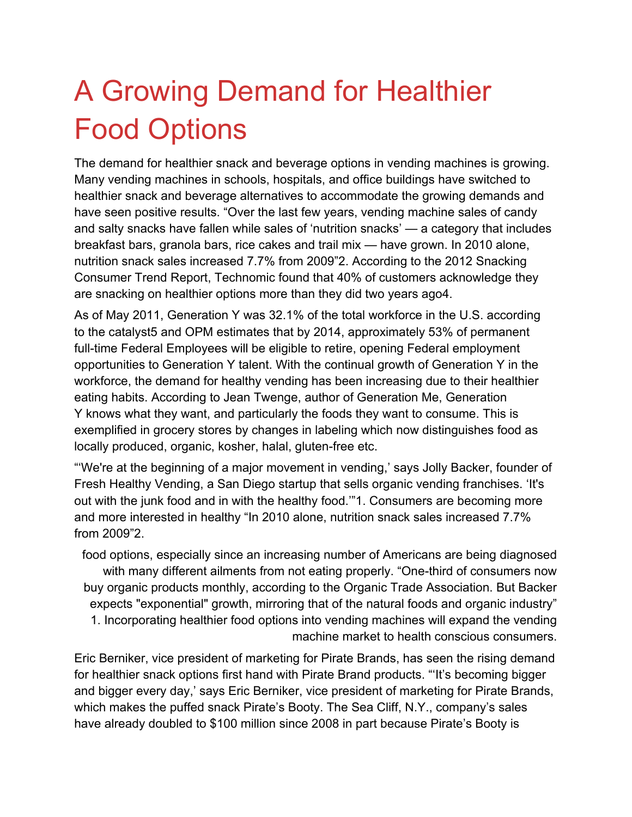### A Growing Demand for Healthier Food Options

The demand for healthier snack and beverage options in vending machines is growing. Many vending machines in schools, hospitals, and office buildings have switched to healthier snack and beverage alternatives to accommodate the growing demands and have seen positive results. "Over the last few years, vending machine sales of candy and salty snacks have fallen while sales of 'nutrition snacks' — a category that includes breakfast bars, granola bars, rice cakes and trail mix — have grown. In 2010 alone, nutrition snack sales increased 7.7% from 2009"2. According to the 2012 Snacking Consumer Trend Report, Technomic found that 40% of customers acknowledge they are snacking on healthier options more than they did two years ago4.

As of May 2011, Generation Y was 32.1% of the total workforce in the U.S. according to the catalyst5 and OPM estimates that by 2014, approximately 53% of permanent full-time Federal Employees will be eligible to retire, opening Federal employment opportunities to Generation Y talent. With the continual growth of Generation Y in the workforce, the demand for healthy vending has been increasing due to their healthier eating habits. According to Jean Twenge, author of Generation Me, Generation Y knows what they want, and particularly the foods they want to consume. This is exemplified in grocery stores by changes in labeling which now distinguishes food as locally produced, organic, kosher, halal, gluten-free etc.

"'We're at the beginning of a major movement in vending,' says Jolly Backer, founder of Fresh Healthy Vending, a San Diego startup that sells organic vending franchises. 'It's out with the junk food and in with the healthy food.'"1. Consumers are becoming more and more interested in healthy "In 2010 alone, nutrition snack sales increased 7.7% from 2009"2.

food options, especially since an increasing number of Americans are being diagnosed with many different ailments from not eating properly. "One-third of consumers now buy organic products monthly, according to the Organic Trade Association. But Backer expects "exponential" growth, mirroring that of the natural foods and organic industry" 1. Incorporating healthier food options into vending machines will expand the vending machine market to health conscious consumers.

Eric Berniker, vice president of marketing for Pirate Brands, has seen the rising demand for healthier snack options first hand with Pirate Brand products. "'It's becoming bigger and bigger every day,' says Eric Berniker, vice president of marketing for Pirate Brands, which makes the puffed snack Pirate's Booty. The Sea Cliff, N.Y., company's sales have already doubled to \$100 million since 2008 in part because Pirate's Booty is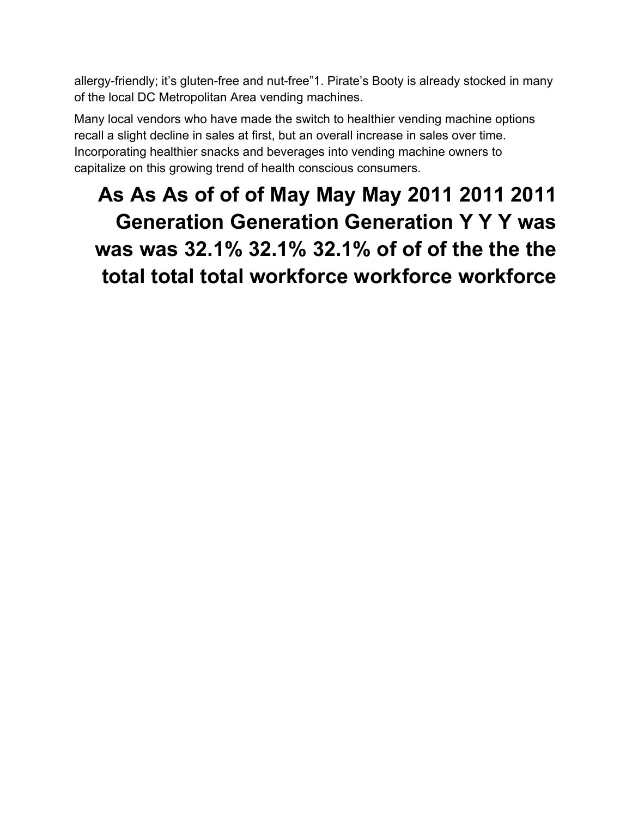allergy-friendly; it's gluten-free and nut-free"1. Pirate's Booty is already stocked in many of the local DC Metropolitan Area vending machines.

Many local vendors who have made the switch to healthier vending machine options recall a slight decline in sales at first, but an overall increase in sales over time. Incorporating healthier snacks and beverages into vending machine owners to capitalize on this growing trend of health conscious consumers.

### **As As As of of of May May May 2011 2011 2011 Generation Generation Generation Y Y Y was was was 32.1% 32.1% 32.1% of of of the the the total total total workforce workforce workforce**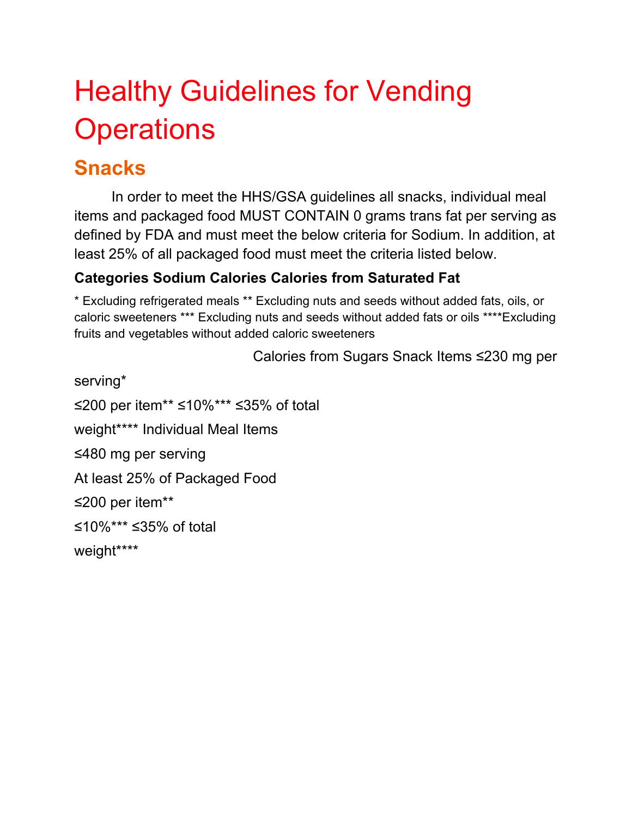### Healthy Guidelines for Vending **Operations**

#### **Snacks**

In order to meet the HHS/GSA guidelines all snacks, individual meal items and packaged food MUST CONTAIN 0 grams trans fat per serving as defined by FDA and must meet the below criteria for Sodium. In addition, at least 25% of all packaged food must meet the criteria listed below.

#### **Categories Sodium Calories Calories from Saturated Fat**

\* Excluding refrigerated meals \*\* Excluding nuts and seeds without added fats, oils, or caloric sweeteners \*\*\* Excluding nuts and seeds without added fats or oils \*\*\*\*Excluding fruits and vegetables without added caloric sweeteners

Calories from Sugars Snack Items ≤230 mg per

serving\* ≤200 per item\*\* ≤10%\*\*\* ≤35% of total weight\*\*\*\* Individual Meal Items ≤480 mg per serving At least 25% of Packaged Food ≤200 per item\*\* ≤10%\*\*\* ≤35% of total weight\*\*\*\*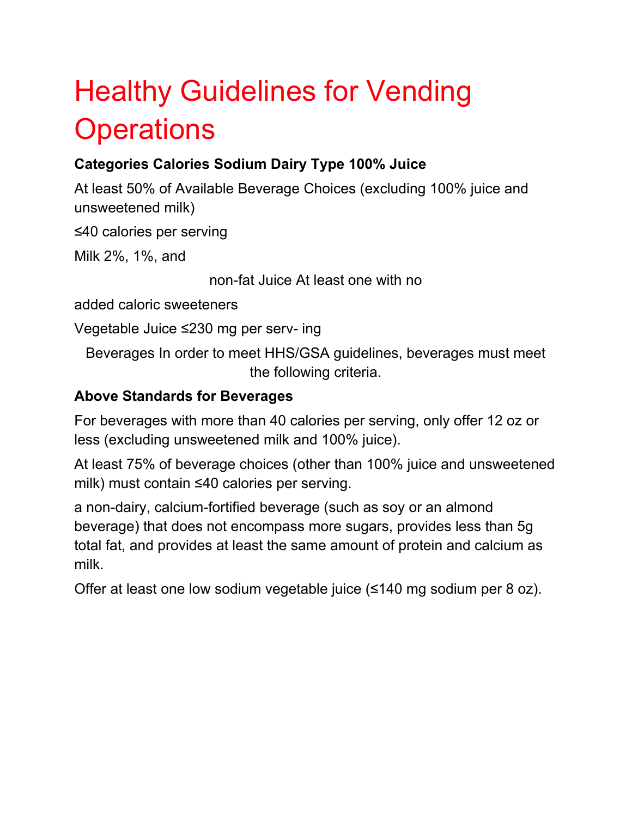### Healthy Guidelines for Vending **Operations**

#### **Categories Calories Sodium Dairy Type 100% Juice**

At least 50% of Available Beverage Choices (excluding 100% juice and unsweetened milk)

≤40 calories per serving

Milk 2%, 1%, and

non-fat Juice At least one with no

added caloric sweeteners

Vegetable Juice ≤230 mg per serv- ing

Beverages In order to meet HHS/GSA guidelines, beverages must meet the following criteria.

#### **Above Standards for Beverages**

For beverages with more than 40 calories per serving, only offer 12 oz or less (excluding unsweetened milk and 100% juice).

At least 75% of beverage choices (other than 100% juice and unsweetened milk) must contain ≤40 calories per serving.

a non-dairy, calcium-fortified beverage (such as soy or an almond beverage) that does not encompass more sugars, provides less than 5g total fat, and provides at least the same amount of protein and calcium as milk.

Offer at least one low sodium vegetable juice (≤140 mg sodium per 8 oz).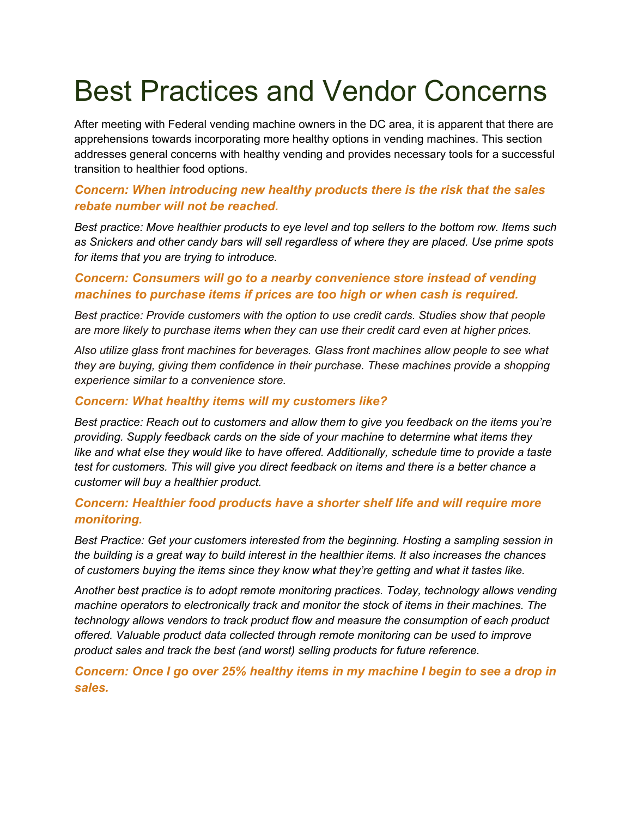### Best Practices and Vendor Concerns

After meeting with Federal vending machine owners in the DC area, it is apparent that there are apprehensions towards incorporating more healthy options in vending machines. This section addresses general concerns with healthy vending and provides necessary tools for a successful transition to healthier food options.

#### *Concern: When introducing new healthy products there is the risk that the sales rebate number will not be reached.*

*Best practice: Move healthier products to eye level and top sellers to the bottom row. Items such as Snickers and other candy bars will sell regardless of where they are placed. Use prime spots for items that you are trying to introduce.* 

#### *Concern: Consumers will go to a nearby convenience store instead of vending machines to purchase items if prices are too high or when cash is required.*

*Best practice: Provide customers with the option to use credit cards. Studies show that people are more likely to purchase items when they can use their credit card even at higher prices.* 

*Also utilize glass front machines for beverages. Glass front machines allow people to see what they are buying, giving them confidence in their purchase. These machines provide a shopping experience similar to a convenience store.* 

#### *Concern: What healthy items will my customers like?*

*Best practice: Reach out to customers and allow them to give you feedback on the items you're providing. Supply feedback cards on the side of your machine to determine what items they like and what else they would like to have offered. Additionally, schedule time to provide a taste test for customers. This will give you direct feedback on items and there is a better chance a customer will buy a healthier product.* 

#### *Concern: Healthier food products have a shorter shelf life and will require more monitoring.*

*Best Practice: Get your customers interested from the beginning. Hosting a sampling session in the building is a great way to build interest in the healthier items. It also increases the chances of customers buying the items since they know what they're getting and what it tastes like.* 

*Another best practice is to adopt remote monitoring practices. Today, technology allows vending machine operators to electronically track and monitor the stock of items in their machines. The technology allows vendors to track product flow and measure the consumption of each product offered. Valuable product data collected through remote monitoring can be used to improve product sales and track the best (and worst) selling products for future reference.* 

*Concern: Once I go over 25% healthy items in my machine I begin to see a drop in sales.*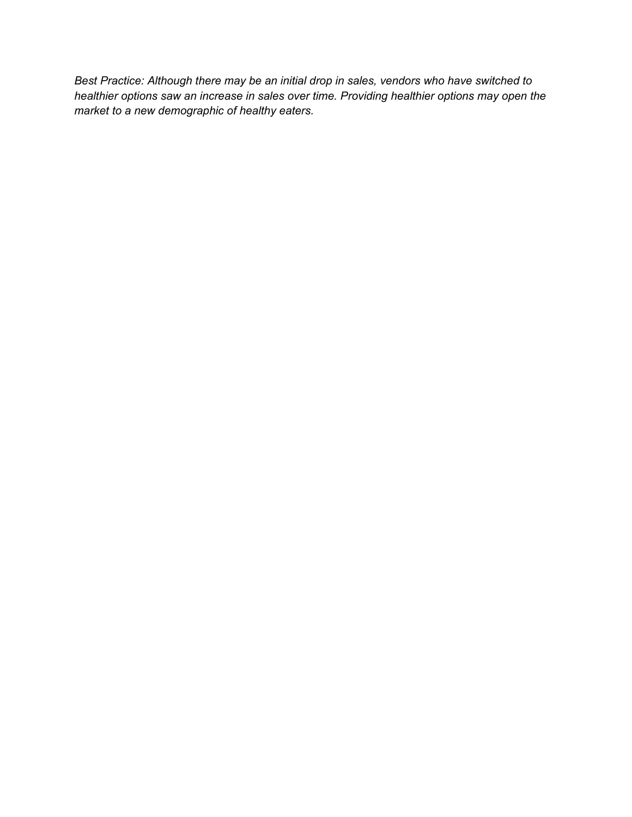*Best Practice: Although there may be an initial drop in sales, vendors who have switched to healthier options saw an increase in sales over time. Providing healthier options may open the market to a new demographic of healthy eaters.*